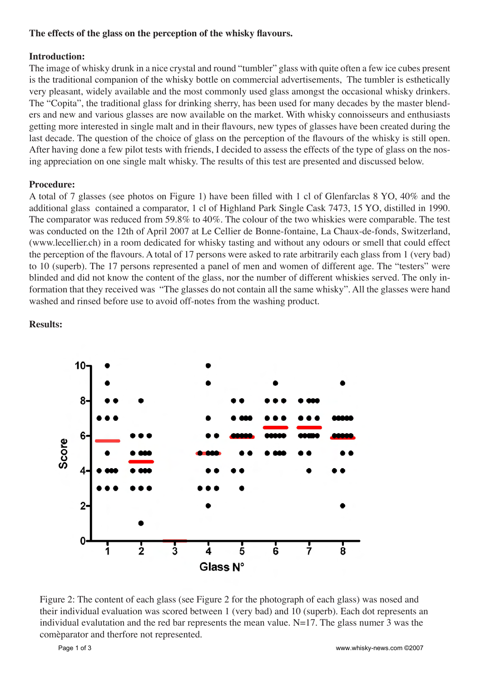## **The effects of the glass on the perception of the whisky flavours.**

## **Introduction:**

The image of whisky drunk in a nice crystal and round "tumbler" glass with quite often a few ice cubes present is the traditional companion of the whisky bottle on commercial advertisements, The tumbler is esthetically very pleasant, widely available and the most commonly used glass amongst the occasional whisky drinkers. The "Copita", the traditional glass for drinking sherry, has been used for many decades by the master blenders and new and various glasses are now available on the market. With whisky connoisseurs and enthusiasts getting more interested in single malt and in their flavours, new types of glasses have been created during the last decade. The question of the choice of glass on the perception of the flavours of the whisky is still open. After having done a few pilot tests with friends, I decided to assess the effects of the type of glass on the nosing appreciation on one single malt whisky. The results of this test are presented and discussed below.

## **Procedure:**

A total of 7 glasses (see photos on Figure 1) have been filled with 1 cl of Glenfarclas 8 YO, 40% and the additional glass contained a comparator, 1 cl of Highland Park Single Cask 7473, 15 YO, distilled in 1990. The comparator was reduced from 59.8% to 40%. The colour of the two whiskies were comparable. The test was conducted on the 12th of April 2007 at Le Cellier de Bonne-fontaine, La Chaux-de-fonds, Switzerland, (www.lecellier.ch) in a room dedicated for whisky tasting and without any odours or smell that could effect the perception of the flavours. A total of 17 persons were asked to rate arbitrarily each glass from 1 (very bad) to 10 (superb). The 17 persons represented a panel of men and women of different age. The "testers" were blinded and did not know the content of the glass, nor the number of different whiskies served. The only information that they received was "The glasses do not contain all the same whisky". All the glasses were hand washed and rinsed before use to avoid off-notes from the washing product.



**Results:**

Figure 2: The content of each glass (see Figure 2 for the photograph of each glass) was nosed and their individual evaluation was scored between 1 (very bad) and 10 (superb). Each dot represents an individual evalutation and the red bar represents the mean value.  $N=17$ . The glass numer 3 was the comèparator and therfore not represented.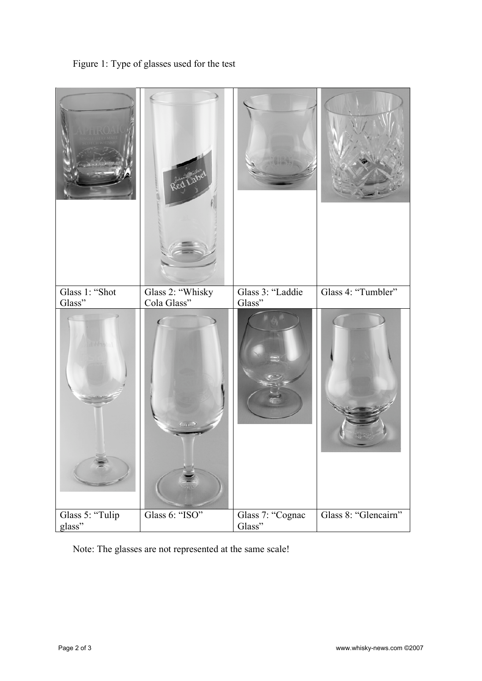Figure 1: Type of glasses used for the test



Note: The glasses are not represented at the same scale!